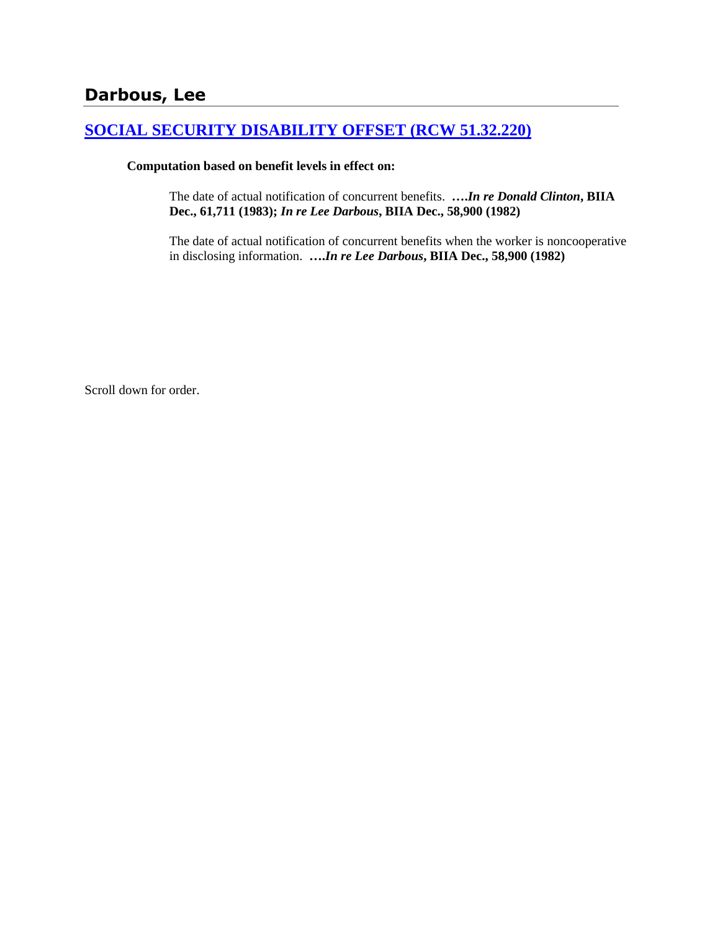# **Darbous, Lee**

## **[SOCIAL SECURITY DISABILITY OFFSET \(RCW 51.32.220\)](http://www.biia.wa.gov/SDSubjectIndex.html#SOCIAL_SECURITY_DISABILITY_OFFSET)**

#### **Computation based on benefit levels in effect on:**

The date of actual notification of concurrent benefits. **….***In re Donald Clinton***, BIIA Dec., 61,711 (1983);** *In re Lee Darbous***, BIIA Dec., 58,900 (1982)** 

The date of actual notification of concurrent benefits when the worker is noncooperative in disclosing information. **….***In re Lee Darbous***, BIIA Dec., 58,900 (1982)** 

Scroll down for order.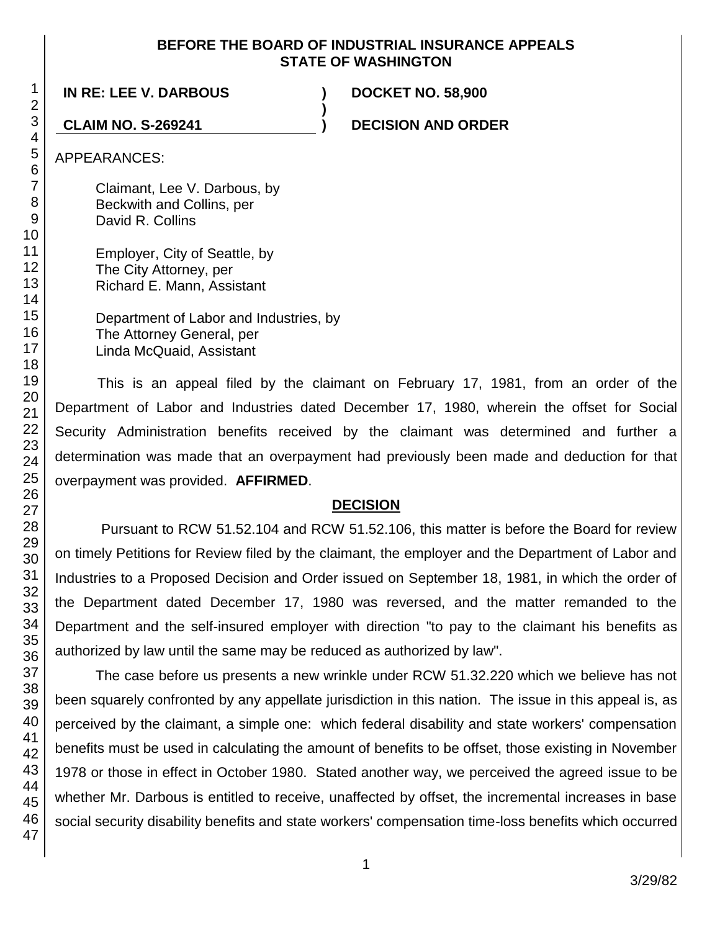#### **BEFORE THE BOARD OF INDUSTRIAL INSURANCE APPEALS STATE OF WASHINGTON**

**)**

**IN RE: LEE V. DARBOUS ) DOCKET NO. 58,900**

**CLAIM NO. S-269241 ) DECISION AND ORDER**

APPEARANCES:

Claimant, Lee V. Darbous, by Beckwith and Collins, per David R. Collins

Employer, City of Seattle, by The City Attorney, per Richard E. Mann, Assistant

Department of Labor and Industries, by The Attorney General, per Linda McQuaid, Assistant

This is an appeal filed by the claimant on February 17, 1981, from an order of the Department of Labor and Industries dated December 17, 1980, wherein the offset for Social Security Administration benefits received by the claimant was determined and further a determination was made that an overpayment had previously been made and deduction for that overpayment was provided. **AFFIRMED**.

### **DECISION**

Pursuant to RCW 51.52.104 and RCW 51.52.106, this matter is before the Board for review on timely Petitions for Review filed by the claimant, the employer and the Department of Labor and Industries to a Proposed Decision and Order issued on September 18, 1981, in which the order of the Department dated December 17, 1980 was reversed, and the matter remanded to the Department and the self-insured employer with direction "to pay to the claimant his benefits as authorized by law until the same may be reduced as authorized by law".

The case before us presents a new wrinkle under RCW 51.32.220 which we believe has not been squarely confronted by any appellate jurisdiction in this nation. The issue in this appeal is, as perceived by the claimant, a simple one: which federal disability and state workers' compensation benefits must be used in calculating the amount of benefits to be offset, those existing in November 1978 or those in effect in October 1980. Stated another way, we perceived the agreed issue to be whether Mr. Darbous is entitled to receive, unaffected by offset, the incremental increases in base social security disability benefits and state workers' compensation time-loss benefits which occurred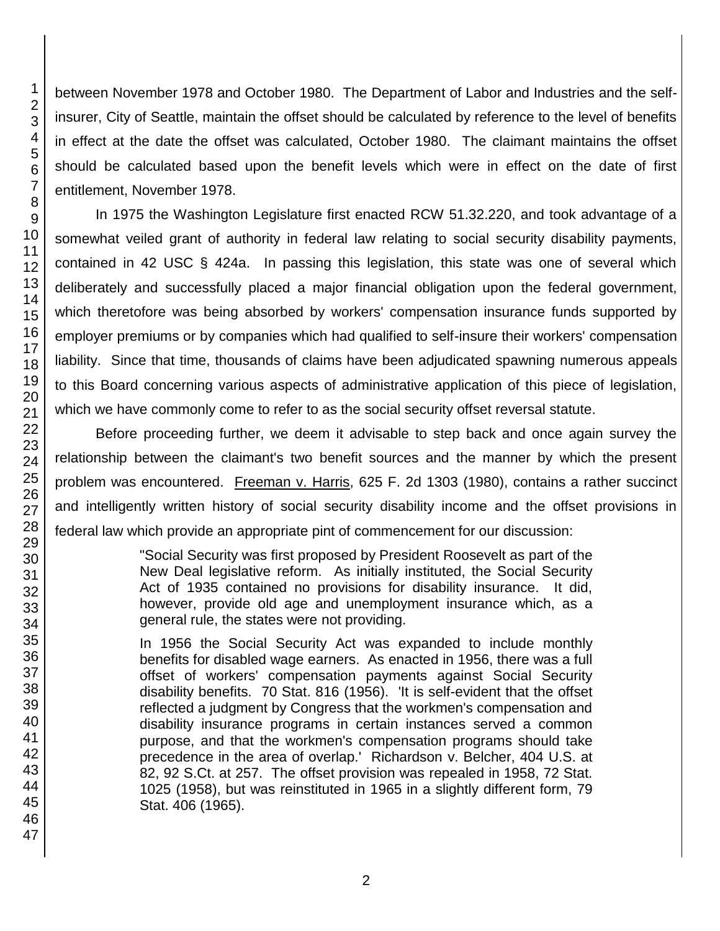1 2 3 between November 1978 and October 1980. The Department of Labor and Industries and the selfinsurer, City of Seattle, maintain the offset should be calculated by reference to the level of benefits in effect at the date the offset was calculated, October 1980. The claimant maintains the offset should be calculated based upon the benefit levels which were in effect on the date of first entitlement, November 1978.

In 1975 the Washington Legislature first enacted RCW 51.32.220, and took advantage of a somewhat veiled grant of authority in federal law relating to social security disability payments, contained in 42 USC § 424a. In passing this legislation, this state was one of several which deliberately and successfully placed a major financial obligation upon the federal government, which theretofore was being absorbed by workers' compensation insurance funds supported by employer premiums or by companies which had qualified to self-insure their workers' compensation liability. Since that time, thousands of claims have been adjudicated spawning numerous appeals to this Board concerning various aspects of administrative application of this piece of legislation, which we have commonly come to refer to as the social security offset reversal statute.

Before proceeding further, we deem it advisable to step back and once again survey the relationship between the claimant's two benefit sources and the manner by which the present problem was encountered. Freeman v. Harris, 625 F. 2d 1303 (1980), contains a rather succinct and intelligently written history of social security disability income and the offset provisions in federal law which provide an appropriate pint of commencement for our discussion:

> "Social Security was first proposed by President Roosevelt as part of the New Deal legislative reform. As initially instituted, the Social Security Act of 1935 contained no provisions for disability insurance. It did, however, provide old age and unemployment insurance which, as a general rule, the states were not providing.

> In 1956 the Social Security Act was expanded to include monthly benefits for disabled wage earners. As enacted in 1956, there was a full offset of workers' compensation payments against Social Security disability benefits. 70 Stat. 816 (1956). 'It is self-evident that the offset reflected a judgment by Congress that the workmen's compensation and disability insurance programs in certain instances served a common purpose, and that the workmen's compensation programs should take precedence in the area of overlap.' Richardson v. Belcher, 404 U.S. at 82, 92 S.Ct. at 257. The offset provision was repealed in 1958, 72 Stat. 1025 (1958), but was reinstituted in 1965 in a slightly different form, 79 Stat. 406 (1965).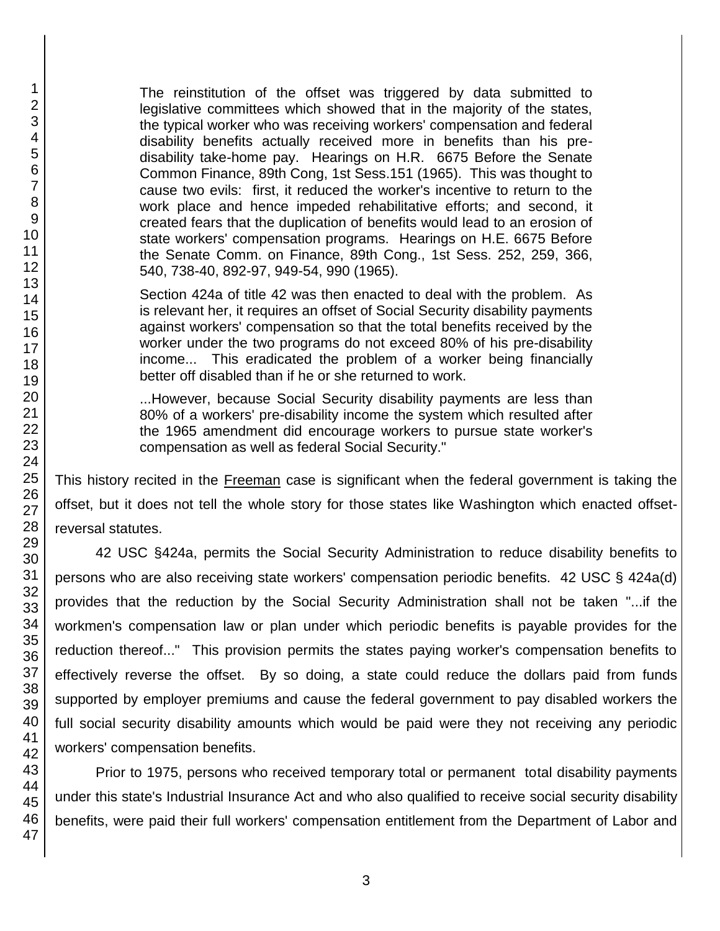The reinstitution of the offset was triggered by data submitted to legislative committees which showed that in the majority of the states, the typical worker who was receiving workers' compensation and federal disability benefits actually received more in benefits than his predisability take-home pay. Hearings on H.R. 6675 Before the Senate Common Finance, 89th Cong, 1st Sess.151 (1965). This was thought to cause two evils: first, it reduced the worker's incentive to return to the work place and hence impeded rehabilitative efforts; and second, it created fears that the duplication of benefits would lead to an erosion of state workers' compensation programs. Hearings on H.E. 6675 Before the Senate Comm. on Finance, 89th Cong., 1st Sess. 252, 259, 366, 540, 738-40, 892-97, 949-54, 990 (1965).

Section 424a of title 42 was then enacted to deal with the problem. As is relevant her, it requires an offset of Social Security disability payments against workers' compensation so that the total benefits received by the worker under the two programs do not exceed 80% of his pre-disability income... This eradicated the problem of a worker being financially better off disabled than if he or she returned to work.

...However, because Social Security disability payments are less than 80% of a workers' pre-disability income the system which resulted after the 1965 amendment did encourage workers to pursue state worker's compensation as well as federal Social Security."

This history recited in the Freeman case is significant when the federal government is taking the offset, but it does not tell the whole story for those states like Washington which enacted offsetreversal statutes.

42 USC §424a, permits the Social Security Administration to reduce disability benefits to persons who are also receiving state workers' compensation periodic benefits. 42 USC § 424a(d) provides that the reduction by the Social Security Administration shall not be taken "...if the workmen's compensation law or plan under which periodic benefits is payable provides for the reduction thereof..." This provision permits the states paying worker's compensation benefits to effectively reverse the offset. By so doing, a state could reduce the dollars paid from funds supported by employer premiums and cause the federal government to pay disabled workers the full social security disability amounts which would be paid were they not receiving any periodic workers' compensation benefits.

Prior to 1975, persons who received temporary total or permanent total disability payments under this state's Industrial Insurance Act and who also qualified to receive social security disability benefits, were paid their full workers' compensation entitlement from the Department of Labor and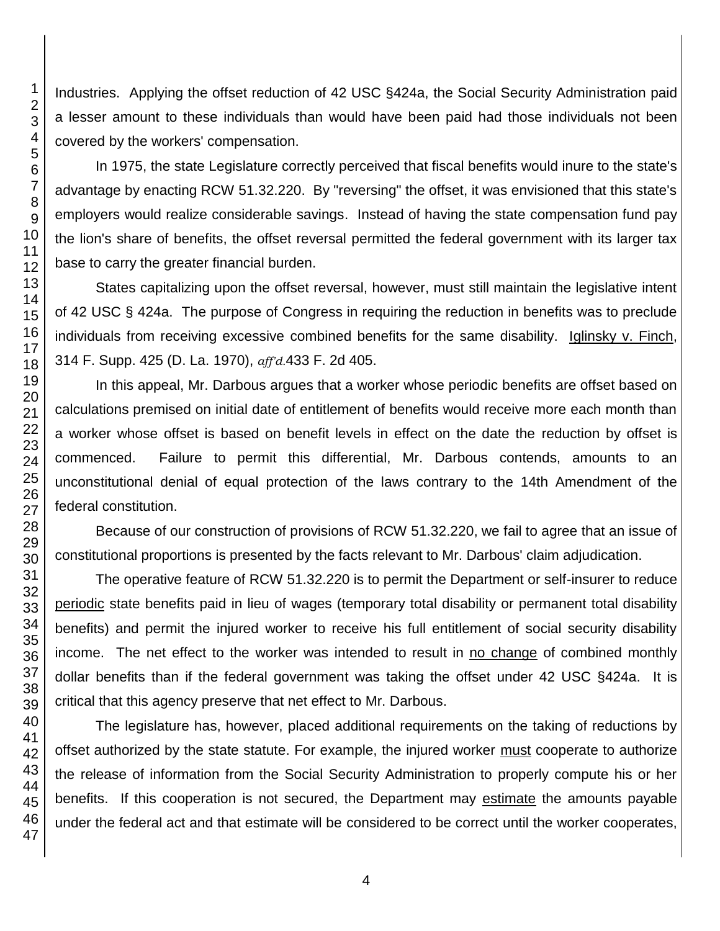Industries. Applying the offset reduction of 42 USC §424a, the Social Security Administration paid a lesser amount to these individuals than would have been paid had those individuals not been covered by the workers' compensation.

In 1975, the state Legislature correctly perceived that fiscal benefits would inure to the state's advantage by enacting RCW 51.32.220. By "reversing" the offset, it was envisioned that this state's employers would realize considerable savings. Instead of having the state compensation fund pay the lion's share of benefits, the offset reversal permitted the federal government with its larger tax base to carry the greater financial burden.

States capitalizing upon the offset reversal, however, must still maintain the legislative intent of 42 USC § 424a. The purpose of Congress in requiring the reduction in benefits was to preclude individuals from receiving excessive combined benefits for the same disability. Iglinsky v. Finch, 314 F. Supp. 425 (D. La. 1970), *aff'd.*433 F. 2d 405.

In this appeal, Mr. Darbous argues that a worker whose periodic benefits are offset based on calculations premised on initial date of entitlement of benefits would receive more each month than a worker whose offset is based on benefit levels in effect on the date the reduction by offset is commenced. Failure to permit this differential, Mr. Darbous contends, amounts to an unconstitutional denial of equal protection of the laws contrary to the 14th Amendment of the federal constitution.

Because of our construction of provisions of RCW 51.32.220, we fail to agree that an issue of constitutional proportions is presented by the facts relevant to Mr. Darbous' claim adjudication.

The operative feature of RCW 51.32.220 is to permit the Department or self-insurer to reduce periodic state benefits paid in lieu of wages (temporary total disability or permanent total disability benefits) and permit the injured worker to receive his full entitlement of social security disability income. The net effect to the worker was intended to result in no change of combined monthly dollar benefits than if the federal government was taking the offset under 42 USC §424a. It is critical that this agency preserve that net effect to Mr. Darbous.

The legislature has, however, placed additional requirements on the taking of reductions by offset authorized by the state statute. For example, the injured worker must cooperate to authorize the release of information from the Social Security Administration to properly compute his or her benefits. If this cooperation is not secured, the Department may estimate the amounts payable under the federal act and that estimate will be considered to be correct until the worker cooperates,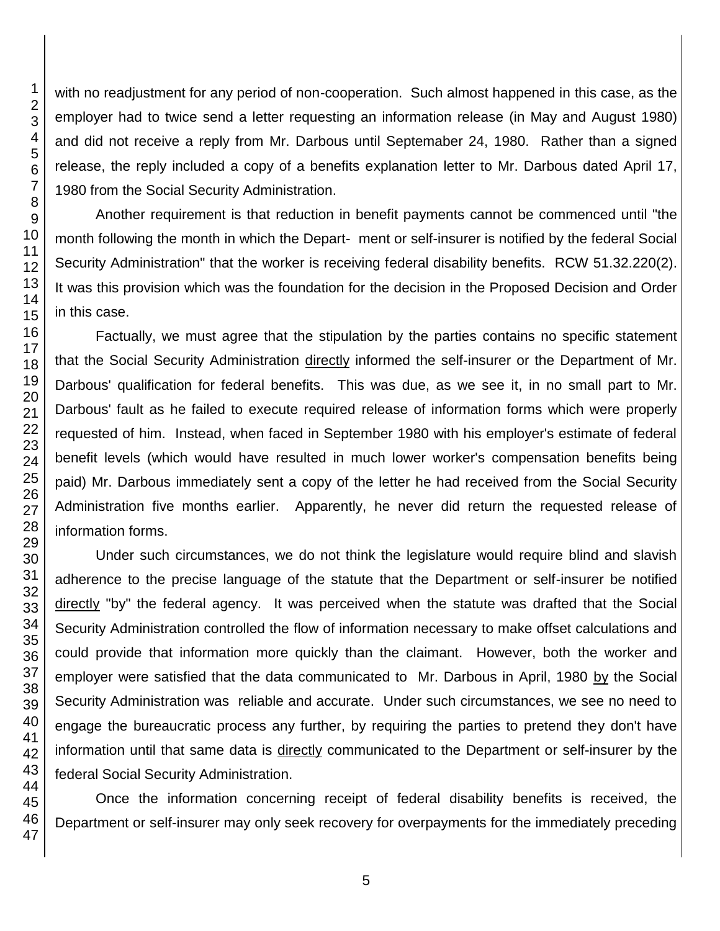with no readjustment for any period of non-cooperation. Such almost happened in this case, as the employer had to twice send a letter requesting an information release (in May and August 1980) and did not receive a reply from Mr. Darbous until Septemaber 24, 1980. Rather than a signed release, the reply included a copy of a benefits explanation letter to Mr. Darbous dated April 17, 1980 from the Social Security Administration.

Another requirement is that reduction in benefit payments cannot be commenced until "the month following the month in which the Depart- ment or self-insurer is notified by the federal Social Security Administration" that the worker is receiving federal disability benefits. RCW 51.32.220(2). It was this provision which was the foundation for the decision in the Proposed Decision and Order in this case.

Factually, we must agree that the stipulation by the parties contains no specific statement that the Social Security Administration directly informed the self-insurer or the Department of Mr. Darbous' qualification for federal benefits. This was due, as we see it, in no small part to Mr. Darbous' fault as he failed to execute required release of information forms which were properly requested of him. Instead, when faced in September 1980 with his employer's estimate of federal benefit levels (which would have resulted in much lower worker's compensation benefits being paid) Mr. Darbous immediately sent a copy of the letter he had received from the Social Security Administration five months earlier. Apparently, he never did return the requested release of information forms.

Under such circumstances, we do not think the legislature would require blind and slavish adherence to the precise language of the statute that the Department or self-insurer be notified directly "by" the federal agency. It was perceived when the statute was drafted that the Social Security Administration controlled the flow of information necessary to make offset calculations and could provide that information more quickly than the claimant. However, both the worker and employer were satisfied that the data communicated to Mr. Darbous in April, 1980 by the Social Security Administration was reliable and accurate. Under such circumstances, we see no need to engage the bureaucratic process any further, by requiring the parties to pretend they don't have information until that same data is directly communicated to the Department or self-insurer by the federal Social Security Administration.

Once the information concerning receipt of federal disability benefits is received, the Department or self-insurer may only seek recovery for overpayments for the immediately preceding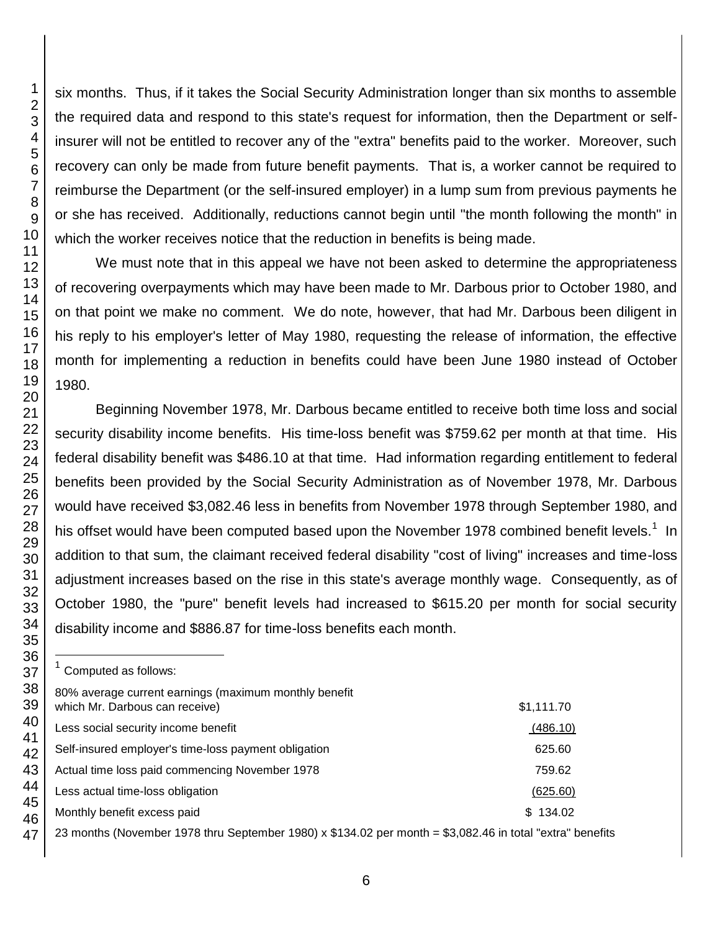six months. Thus, if it takes the Social Security Administration longer than six months to assemble the required data and respond to this state's request for information, then the Department or selfinsurer will not be entitled to recover any of the "extra" benefits paid to the worker. Moreover, such recovery can only be made from future benefit payments. That is, a worker cannot be required to reimburse the Department (or the self-insured employer) in a lump sum from previous payments he or she has received. Additionally, reductions cannot begin until "the month following the month" in which the worker receives notice that the reduction in benefits is being made.

We must note that in this appeal we have not been asked to determine the appropriateness of recovering overpayments which may have been made to Mr. Darbous prior to October 1980, and on that point we make no comment. We do note, however, that had Mr. Darbous been diligent in his reply to his employer's letter of May 1980, requesting the release of information, the effective month for implementing a reduction in benefits could have been June 1980 instead of October 1980.

Beginning November 1978, Mr. Darbous became entitled to receive both time loss and social security disability income benefits. His time-loss benefit was \$759.62 per month at that time. His federal disability benefit was \$486.10 at that time. Had information regarding entitlement to federal benefits been provided by the Social Security Administration as of November 1978, Mr. Darbous would have received \$3,082.46 less in benefits from November 1978 through September 1980, and his offset would have been computed based upon the November 1978 combined benefit levels.<sup>1</sup> In addition to that sum, the claimant received federal disability "cost of living" increases and time-loss adjustment increases based on the rise in this state's average monthly wage. Consequently, as of October 1980, the "pure" benefit levels had increased to \$615.20 per month for social security disability income and \$886.87 for time-loss benefits each month.

1 Computed as follows:

l

80% average current earnings (maximum monthly benefit

| which Mr. Darbous can receive)                       | \$1,111.70 |
|------------------------------------------------------|------------|
| Less social security income benefit                  | (486.10)   |
| Self-insured employer's time-loss payment obligation | 625.60     |
| Actual time loss paid commencing November 1978       | 759.62     |
| Less actual time-loss obligation                     | (625.60)   |
| Monthly benefit excess paid                          | \$134.02   |
|                                                      |            |

23 months (November 1978 thru September 1980) x \$134.02 per month = \$3,082.46 in total "extra" benefits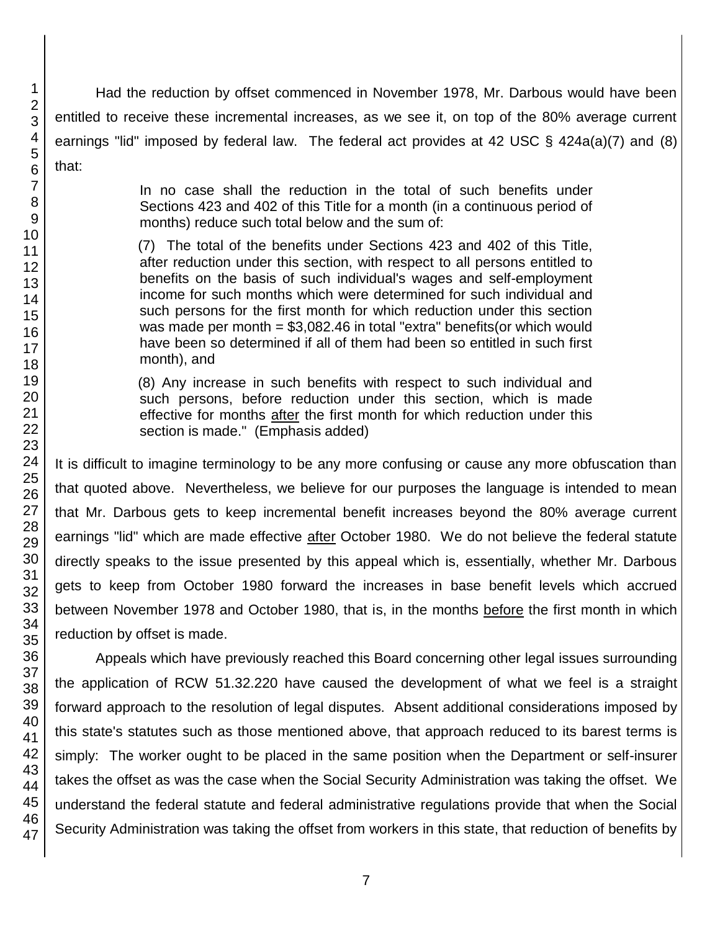Had the reduction by offset commenced in November 1978, Mr. Darbous would have been entitled to receive these incremental increases, as we see it, on top of the 80% average current earnings "lid" imposed by federal law. The federal act provides at 42 USC § 424a(a)(7) and (8) that:

> In no case shall the reduction in the total of such benefits under Sections 423 and 402 of this Title for a month (in a continuous period of months) reduce such total below and the sum of:

> (7) The total of the benefits under Sections 423 and 402 of this Title, after reduction under this section, with respect to all persons entitled to benefits on the basis of such individual's wages and self-employment income for such months which were determined for such individual and such persons for the first month for which reduction under this section was made per month =  $$3,082.46$  in total "extra" benefits(or which would have been so determined if all of them had been so entitled in such first month), and

> (8) Any increase in such benefits with respect to such individual and such persons, before reduction under this section, which is made effective for months after the first month for which reduction under this section is made." (Emphasis added)

It is difficult to imagine terminology to be any more confusing or cause any more obfuscation than that quoted above. Nevertheless, we believe for our purposes the language is intended to mean that Mr. Darbous gets to keep incremental benefit increases beyond the 80% average current earnings "lid" which are made effective after October 1980. We do not believe the federal statute directly speaks to the issue presented by this appeal which is, essentially, whether Mr. Darbous gets to keep from October 1980 forward the increases in base benefit levels which accrued between November 1978 and October 1980, that is, in the months before the first month in which reduction by offset is made.

Appeals which have previously reached this Board concerning other legal issues surrounding the application of RCW 51.32.220 have caused the development of what we feel is a straight forward approach to the resolution of legal disputes. Absent additional considerations imposed by this state's statutes such as those mentioned above, that approach reduced to its barest terms is simply: The worker ought to be placed in the same position when the Department or self-insurer takes the offset as was the case when the Social Security Administration was taking the offset. We understand the federal statute and federal administrative regulations provide that when the Social Security Administration was taking the offset from workers in this state, that reduction of benefits by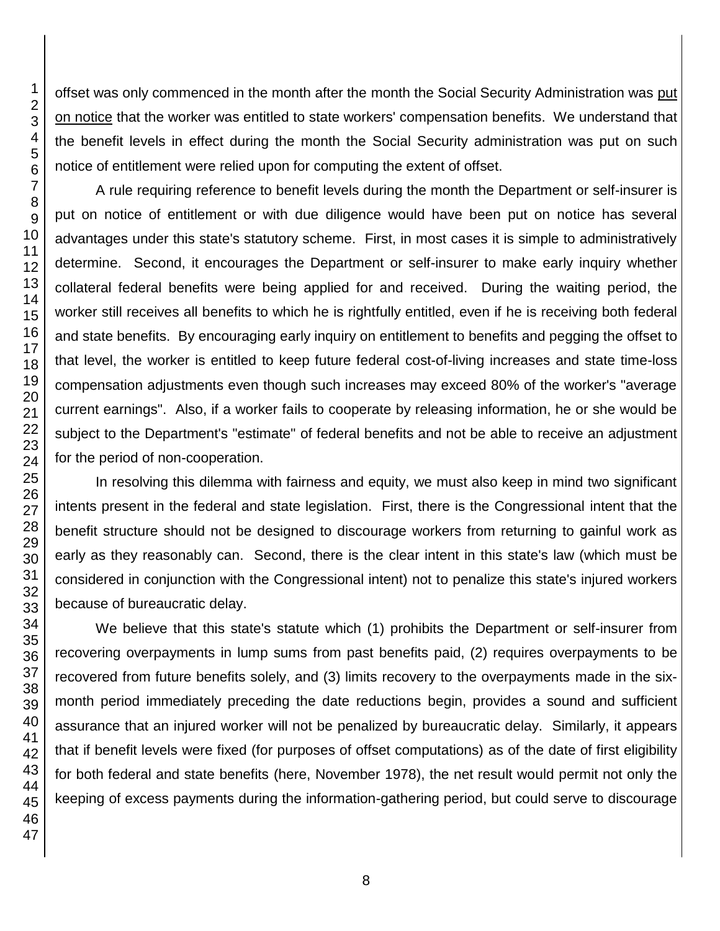offset was only commenced in the month after the month the Social Security Administration was put on notice that the worker was entitled to state workers' compensation benefits. We understand that the benefit levels in effect during the month the Social Security administration was put on such notice of entitlement were relied upon for computing the extent of offset.

A rule requiring reference to benefit levels during the month the Department or self-insurer is put on notice of entitlement or with due diligence would have been put on notice has several advantages under this state's statutory scheme. First, in most cases it is simple to administratively determine. Second, it encourages the Department or self-insurer to make early inquiry whether collateral federal benefits were being applied for and received. During the waiting period, the worker still receives all benefits to which he is rightfully entitled, even if he is receiving both federal and state benefits. By encouraging early inquiry on entitlement to benefits and pegging the offset to that level, the worker is entitled to keep future federal cost-of-living increases and state time-loss compensation adjustments even though such increases may exceed 80% of the worker's "average current earnings". Also, if a worker fails to cooperate by releasing information, he or she would be subject to the Department's "estimate" of federal benefits and not be able to receive an adjustment for the period of non-cooperation.

In resolving this dilemma with fairness and equity, we must also keep in mind two significant intents present in the federal and state legislation. First, there is the Congressional intent that the benefit structure should not be designed to discourage workers from returning to gainful work as early as they reasonably can. Second, there is the clear intent in this state's law (which must be considered in conjunction with the Congressional intent) not to penalize this state's injured workers because of bureaucratic delay.

We believe that this state's statute which (1) prohibits the Department or self-insurer from recovering overpayments in lump sums from past benefits paid, (2) requires overpayments to be recovered from future benefits solely, and (3) limits recovery to the overpayments made in the sixmonth period immediately preceding the date reductions begin, provides a sound and sufficient assurance that an injured worker will not be penalized by bureaucratic delay. Similarly, it appears that if benefit levels were fixed (for purposes of offset computations) as of the date of first eligibility for both federal and state benefits (here, November 1978), the net result would permit not only the keeping of excess payments during the information-gathering period, but could serve to discourage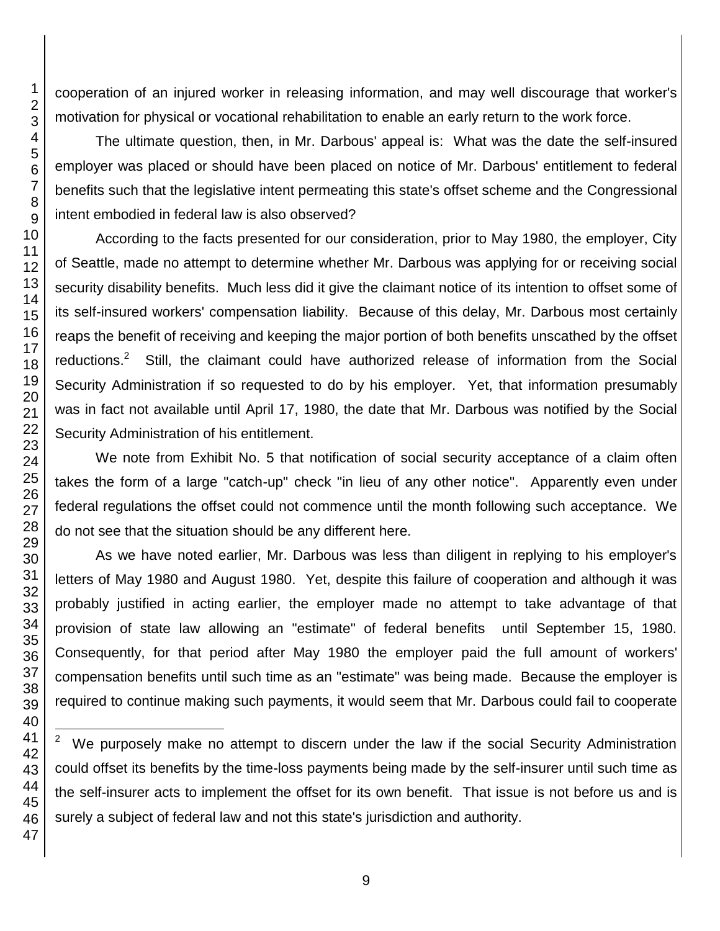cooperation of an injured worker in releasing information, and may well discourage that worker's motivation for physical or vocational rehabilitation to enable an early return to the work force.

The ultimate question, then, in Mr. Darbous' appeal is: What was the date the self-insured employer was placed or should have been placed on notice of Mr. Darbous' entitlement to federal benefits such that the legislative intent permeating this state's offset scheme and the Congressional intent embodied in federal law is also observed?

According to the facts presented for our consideration, prior to May 1980, the employer, City of Seattle, made no attempt to determine whether Mr. Darbous was applying for or receiving social security disability benefits. Much less did it give the claimant notice of its intention to offset some of its self-insured workers' compensation liability. Because of this delay, Mr. Darbous most certainly reaps the benefit of receiving and keeping the major portion of both benefits unscathed by the offset reductions. Still, the claimant could have authorized release of information from the Social Security Administration if so requested to do by his employer. Yet, that information presumably was in fact not available until April 17, 1980, the date that Mr. Darbous was notified by the Social Security Administration of his entitlement.

We note from Exhibit No. 5 that notification of social security acceptance of a claim often takes the form of a large "catch-up" check "in lieu of any other notice". Apparently even under federal regulations the offset could not commence until the month following such acceptance. We do not see that the situation should be any different here.

As we have noted earlier, Mr. Darbous was less than diligent in replying to his employer's letters of May 1980 and August 1980. Yet, despite this failure of cooperation and although it was probably justified in acting earlier, the employer made no attempt to take advantage of that provision of state law allowing an "estimate" of federal benefits until September 15, 1980. Consequently, for that period after May 1980 the employer paid the full amount of workers' compensation benefits until such time as an "estimate" was being made. Because the employer is required to continue making such payments, it would seem that Mr. Darbous could fail to cooperate

 We purposely make no attempt to discern under the law if the social Security Administration could offset its benefits by the time-loss payments being made by the self-insurer until such time as the self-insurer acts to implement the offset for its own benefit. That issue is not before us and is surely a subject of federal law and not this state's jurisdiction and authority.

l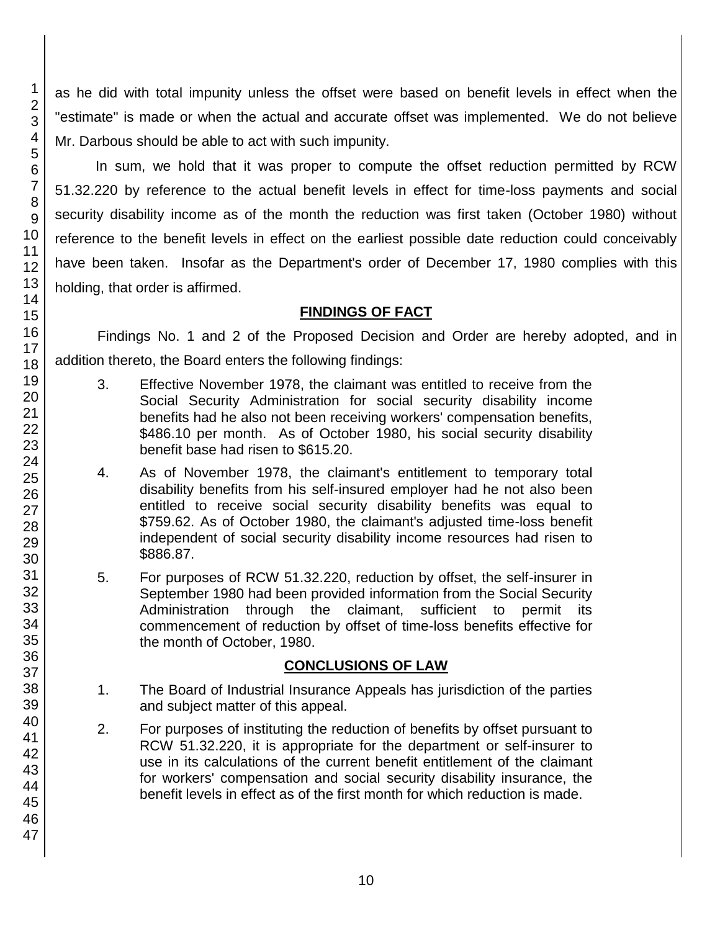as he did with total impunity unless the offset were based on benefit levels in effect when the "estimate" is made or when the actual and accurate offset was implemented. We do not believe Mr. Darbous should be able to act with such impunity.

In sum, we hold that it was proper to compute the offset reduction permitted by RCW 51.32.220 by reference to the actual benefit levels in effect for time-loss payments and social security disability income as of the month the reduction was first taken (October 1980) without reference to the benefit levels in effect on the earliest possible date reduction could conceivably have been taken. Insofar as the Department's order of December 17, 1980 complies with this holding, that order is affirmed.

#### **FINDINGS OF FACT**

Findings No. 1 and 2 of the Proposed Decision and Order are hereby adopted, and in addition thereto, the Board enters the following findings:

- 3. Effective November 1978, the claimant was entitled to receive from the Social Security Administration for social security disability income benefits had he also not been receiving workers' compensation benefits, \$486.10 per month. As of October 1980, his social security disability benefit base had risen to \$615.20.
- 4. As of November 1978, the claimant's entitlement to temporary total disability benefits from his self-insured employer had he not also been entitled to receive social security disability benefits was equal to \$759.62. As of October 1980, the claimant's adjusted time-loss benefit independent of social security disability income resources had risen to \$886.87.
- 5. For purposes of RCW 51.32.220, reduction by offset, the self-insurer in September 1980 had been provided information from the Social Security Administration through the claimant, sufficient to permit its commencement of reduction by offset of time-loss benefits effective for the month of October, 1980.

### **CONCLUSIONS OF LAW**

- 1. The Board of Industrial Insurance Appeals has jurisdiction of the parties and subject matter of this appeal.
- 2. For purposes of instituting the reduction of benefits by offset pursuant to RCW 51.32.220, it is appropriate for the department or self-insurer to use in its calculations of the current benefit entitlement of the claimant for workers' compensation and social security disability insurance, the benefit levels in effect as of the first month for which reduction is made.